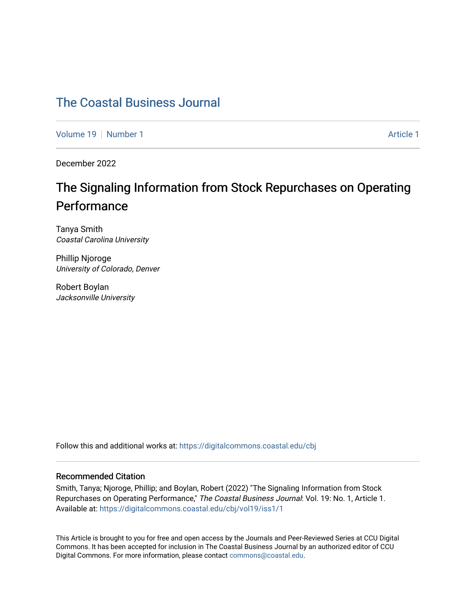## [The Coastal Business Journal](https://digitalcommons.coastal.edu/cbj)

[Volume 19](https://digitalcommons.coastal.edu/cbj/vol19) [Number 1](https://digitalcommons.coastal.edu/cbj/vol19/iss1) Article 1

December 2022

## The Signaling Information from Stock Repurchases on Operating Performance

Tanya Smith Coastal Carolina University

Phillip Njoroge University of Colorado, Denver

Robert Boylan Jacksonville University

Follow this and additional works at: [https://digitalcommons.coastal.edu/cbj](https://digitalcommons.coastal.edu/cbj?utm_source=digitalcommons.coastal.edu%2Fcbj%2Fvol19%2Fiss1%2F1&utm_medium=PDF&utm_campaign=PDFCoverPages) 

#### Recommended Citation

Smith, Tanya; Njoroge, Phillip; and Boylan, Robert (2022) "The Signaling Information from Stock Repurchases on Operating Performance," The Coastal Business Journal: Vol. 19: No. 1, Article 1. Available at: [https://digitalcommons.coastal.edu/cbj/vol19/iss1/1](https://digitalcommons.coastal.edu/cbj/vol19/iss1/1?utm_source=digitalcommons.coastal.edu%2Fcbj%2Fvol19%2Fiss1%2F1&utm_medium=PDF&utm_campaign=PDFCoverPages) 

This Article is brought to you for free and open access by the Journals and Peer-Reviewed Series at CCU Digital Commons. It has been accepted for inclusion in The Coastal Business Journal by an authorized editor of CCU Digital Commons. For more information, please contact [commons@coastal.edu](mailto:commons@coastal.edu).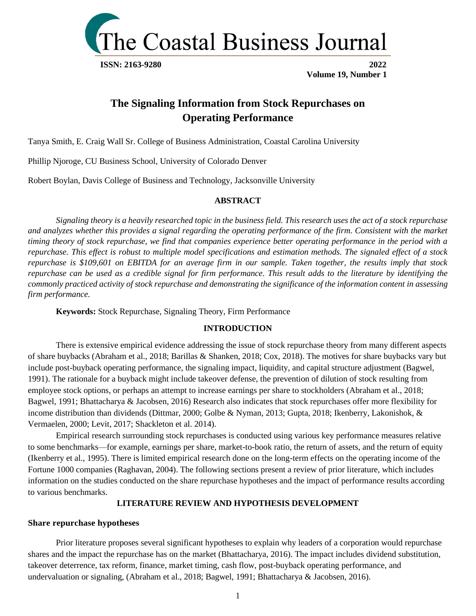

## **The Signaling Information from Stock Repurchases on Operating Performance**

Tanya Smith, E. Craig Wall Sr. College of Business Administration, Coastal Carolina University

Phillip Njoroge, CU Business School, University of Colorado Denver

Robert Boylan, Davis College of Business and Technology, Jacksonville University

#### **ABSTRACT**

*Signaling theory is a heavily researched topic in the business field. This research uses the act of a stock repurchase and analyzes whether this provides a signal regarding the operating performance of the firm. Consistent with the market timing theory of stock repurchase, we find that companies experience better operating performance in the period with a repurchase. This effect is robust to multiple model specifications and estimation methods. The signaled effect of a stock repurchase is \$109,601 on EBITDA for an average firm in our sample. Taken together, the results imply that stock repurchase can be used as a credible signal for firm performance. This result adds to the literature by identifying the commonly practiced activity of stock repurchase and demonstrating the significance of the information content in assessing firm performance.*

**Keywords:** Stock Repurchase, Signaling Theory, Firm Performance

#### **INTRODUCTION**

There is extensive empirical evidence addressing the issue of stock repurchase theory from many different aspects of share buybacks (Abraham et al., 2018; Barillas & Shanken, 2018; Cox, 2018). The motives for share buybacks vary but include post-buyback operating performance, the signaling impact, liquidity, and capital structure adjustment (Bagwel, 1991). The rationale for a buyback might include takeover defense, the prevention of dilution of stock resulting from employee stock options, or perhaps an attempt to increase earnings per share to stockholders (Abraham et al., 2018; Bagwel, 1991; Bhattacharya & Jacobsen, 2016) Research also indicates that stock repurchases offer more flexibility for income distribution than dividends (Dittmar, 2000; Golbe & Nyman, 2013; Gupta, 2018; Ikenberry, Lakonishok, & Vermaelen, 2000; Levit, 2017; Shackleton et al. 2014).

Empirical research surrounding stock repurchases is conducted using various key performance measures relative to some benchmarks—for example, earnings per share, market-to-book ratio, the return of assets, and the return of equity (Ikenberry et al., 1995). There is limited empirical research done on the long-term effects on the operating income of the Fortune 1000 companies (Raghavan, 2004). The following sections present a review of prior literature, which includes information on the studies conducted on the share repurchase hypotheses and the impact of performance results according to various benchmarks.

#### **LITERATURE REVIEW AND HYPOTHESIS DEVELOPMENT**

#### **Share repurchase hypotheses**

Prior literature proposes several significant hypotheses to explain why leaders of a corporation would repurchase shares and the impact the repurchase has on the market (Bhattacharya, 2016). The impact includes dividend substitution, takeover deterrence, tax reform, finance, market timing, cash flow, post-buyback operating performance, and undervaluation or signaling, (Abraham et al., 2018; Bagwel, 1991; Bhattacharya & Jacobsen, 2016).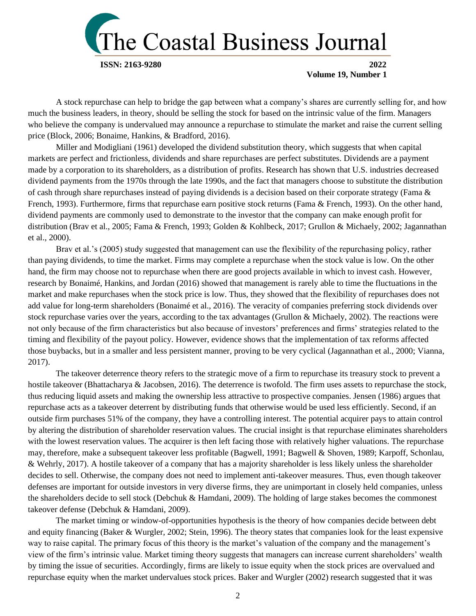

A stock repurchase can help to bridge the gap between what a company's shares are currently selling for, and how much the business leaders, in theory, should be selling the stock for based on the intrinsic value of the firm. Managers who believe the company is undervalued may announce a repurchase to stimulate the market and raise the current selling price (Block, 2006; Bonaime, Hankins, & Bradford, 2016).

Miller and Modigliani (1961) developed the dividend substitution theory, which suggests that when capital markets are perfect and frictionless, dividends and share repurchases are perfect substitutes. Dividends are a payment made by a corporation to its shareholders, as a distribution of profits. Research has shown that U.S. industries decreased dividend payments from the 1970s through the late 1990s, and the fact that managers choose to substitute the distribution of cash through share repurchases instead of paying dividends is a decision based on their corporate strategy (Fama & French, 1993). Furthermore, firms that repurchase earn positive stock returns (Fama & French, 1993). On the other hand, dividend payments are commonly used to demonstrate to the investor that the company can make enough profit for distribution (Brav et al., 2005; Fama & French, 1993; Golden & Kohlbeck, 2017; Grullon & Michaely, 2002; Jagannathan et al., 2000).

Brav et al.'s (2005) study suggested that management can use the flexibility of the repurchasing policy, rather than paying dividends, to time the market. Firms may complete a repurchase when the stock value is low. On the other hand, the firm may choose not to repurchase when there are good projects available in which to invest cash. However, research by Bonaimé, Hankins, and Jordan (2016) showed that management is rarely able to time the fluctuations in the market and make repurchases when the stock price is low. Thus, they showed that the flexibility of repurchases does not add value for long-term shareholders (Bonaimé et al., 2016). The veracity of companies preferring stock dividends over stock repurchase varies over the years, according to the tax advantages (Grullon & Michaely, 2002). The reactions were not only because of the firm characteristics but also because of investors' preferences and firms' strategies related to the timing and flexibility of the payout policy. However, evidence shows that the implementation of tax reforms affected those buybacks, but in a smaller and less persistent manner, proving to be very cyclical (Jagannathan et al., 2000; Vianna, 2017).

The takeover deterrence theory refers to the strategic move of a firm to repurchase its treasury stock to prevent a hostile takeover (Bhattacharya & Jacobsen, 2016). The deterrence is twofold. The firm uses assets to repurchase the stock, thus reducing liquid assets and making the ownership less attractive to prospective companies. Jensen (1986) argues that repurchase acts as a takeover deterrent by distributing funds that otherwise would be used less efficiently. Second, if an outside firm purchases 51% of the company, they have a controlling interest. The potential acquirer pays to attain control by altering the distribution of shareholder reservation values. The crucial insight is that repurchase eliminates shareholders with the lowest reservation values. The acquirer is then left facing those with relatively higher valuations. The repurchase may, therefore, make a subsequent takeover less profitable (Bagwell, 1991; Bagwell & Shoven, 1989; Karpoff, Schonlau, & Wehrly, 2017). A hostile takeover of a company that has a majority shareholder is less likely unless the shareholder decides to sell. Otherwise, the company does not need to implement anti-takeover measures. Thus, even though takeover defenses are important for outside investors in very diverse firms, they are unimportant in closely held companies, unless the shareholders decide to sell stock (Debchuk & Hamdani, 2009). The holding of large stakes becomes the commonest takeover defense (Debchuk & Hamdani, 2009).

The market timing or window-of-opportunities hypothesis is the theory of how companies decide between debt and equity financing (Baker & Wurgler, 2002; Stein, 1996). The theory states that companies look for the least expensive way to raise capital. The primary focus of this theory is the market's valuation of the company and the management's view of the firm's intrinsic value. Market timing theory suggests that managers can increase current shareholders' wealth by timing the issue of securities. Accordingly, firms are likely to issue equity when the stock prices are overvalued and repurchase equity when the market undervalues stock prices. Baker and Wurgler (2002) research suggested that it was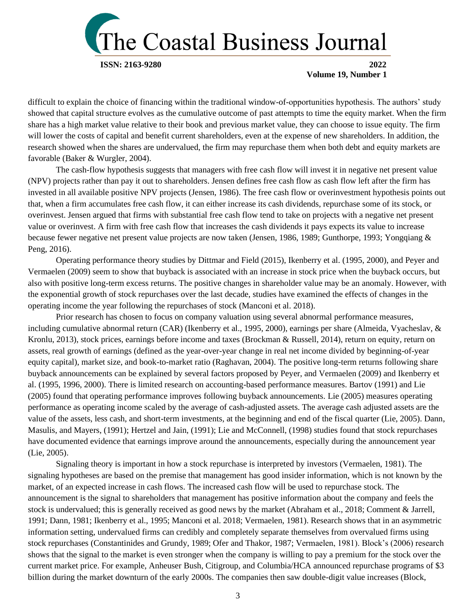

difficult to explain the choice of financing within the traditional window-of-opportunities hypothesis. The authors' study showed that capital structure evolves as the cumulative outcome of past attempts to time the equity market. When the firm share has a high market value relative to their book and previous market value, they can choose to issue equity. The firm will lower the costs of capital and benefit current shareholders, even at the expense of new shareholders. In addition, the research showed when the shares are undervalued, the firm may repurchase them when both debt and equity markets are favorable (Baker & Wurgler, 2004).

The cash-flow hypothesis suggests that managers with free cash flow will invest it in negative net present value (NPV) projects rather than pay it out to shareholders. Jensen defines free cash flow as cash flow left after the firm has invested in all available positive NPV projects (Jensen, 1986). The free cash flow or overinvestment hypothesis points out that, when a firm accumulates free cash flow, it can either increase its cash dividends, repurchase some of its stock, or overinvest. Jensen argued that firms with substantial free cash flow tend to take on projects with a negative net present value or overinvest. A firm with free cash flow that increases the cash dividends it pays expects its value to increase because fewer negative net present value projects are now taken (Jensen, 1986, 1989; Gunthorpe, 1993; Yongqiang & Peng, 2016).

Operating performance theory studies by Dittmar and Field (2015), Ikenberry et al. (1995, 2000), and Peyer and Vermaelen (2009) seem to show that buyback is associated with an increase in stock price when the buyback occurs, but also with positive long-term excess returns. The positive changes in shareholder value may be an anomaly. However, with the exponential growth of stock repurchases over the last decade, studies have examined the effects of changes in the operating income the year following the repurchases of stock (Manconi et al. 2018).

Prior research has chosen to focus on company valuation using several abnormal performance measures, including cumulative abnormal return (CAR) (Ikenberry et al., 1995, 2000), earnings per share (Almeida, Vyacheslav, & Kronlu, 2013), stock prices, earnings before income and taxes (Brockman & Russell, 2014), return on equity, return on assets, real growth of earnings (defined as the year-over-year change in real net income divided by beginning-of-year equity capital), market size, and book-to-market ratio (Raghavan, 2004). The positive long-term returns following share buyback announcements can be explained by several factors proposed by Peyer, and Vermaelen (2009) and Ikenberry et al. (1995, 1996, 2000). There is limited research on accounting-based performance measures. Bartov (1991) and Lie (2005) found that operating performance improves following buyback announcements. Lie (2005) measures operating performance as operating income scaled by the average of cash-adjusted assets. The average cash adjusted assets are the value of the assets, less cash, and short-term investments, at the beginning and end of the fiscal quarter (Lie, 2005). Dann, Masulis, and Mayers, (1991); Hertzel and Jain, (1991); Lie and McConnell, (1998) studies found that stock repurchases have documented evidence that earnings improve around the announcements, especially during the announcement year (Lie, 2005).

Signaling theory is important in how a stock repurchase is interpreted by investors (Vermaelen, 1981). The signaling hypotheses are based on the premise that management has good insider information, which is not known by the market, of an expected increase in cash flows. The increased cash flow will be used to repurchase stock. The announcement is the signal to shareholders that management has positive information about the company and feels the stock is undervalued; this is generally received as good news by the market (Abraham et al., 2018; Comment & Jarrell, 1991; Dann, 1981; Ikenberry et al., 1995; Manconi et al. 2018; Vermaelen, 1981). Research shows that in an asymmetric information setting, undervalued firms can credibly and completely separate themselves from overvalued firms using stock repurchases (Constantinides and Grundy, 1989; Ofer and Thakor, 1987; Vermaelen, 1981). Block's (2006) research shows that the signal to the market is even stronger when the company is willing to pay a premium for the stock over the current market price. For example, Anheuser Bush, Citigroup, and Columbia/HCA announced repurchase programs of \$3 billion during the market downturn of the early 2000s. The companies then saw double-digit value increases (Block,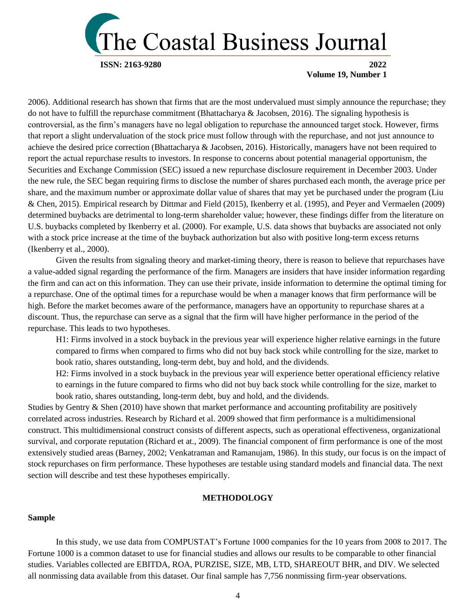

2006). Additional research has shown that firms that are the most undervalued must simply announce the repurchase; they do not have to fulfill the repurchase commitment (Bhattacharya & Jacobsen, 2016). The signaling hypothesis is controversial, as the firm's managers have no legal obligation to repurchase the announced target stock. However, firms that report a slight undervaluation of the stock price must follow through with the repurchase, and not just announce to achieve the desired price correction (Bhattacharya & Jacobsen, 2016). Historically, managers have not been required to report the actual repurchase results to investors. In response to concerns about potential managerial opportunism, the Securities and Exchange Commission (SEC) issued a new repurchase disclosure requirement in December 2003. Under the new rule, the SEC began requiring firms to disclose the number of shares purchased each month, the average price per share, and the maximum number or approximate dollar value of shares that may yet be purchased under the program (Liu & Chen, 2015). Empirical research by Dittmar and Field (2015), Ikenberry et al. (1995), and Peyer and Vermaelen (2009) determined buybacks are detrimental to long-term shareholder value; however, these findings differ from the literature on U.S. buybacks completed by Ikenberry et al. (2000). For example, U.S. data shows that buybacks are associated not only with a stock price increase at the time of the buyback authorization but also with positive long-term excess returns (Ikenberry et al., 2000).

Given the results from signaling theory and market-timing theory, there is reason to believe that repurchases have a value-added signal regarding the performance of the firm. Managers are insiders that have insider information regarding the firm and can act on this information. They can use their private, inside information to determine the optimal timing for a repurchase. One of the optimal times for a repurchase would be when a manager knows that firm performance will be high. Before the market becomes aware of the performance, managers have an opportunity to repurchase shares at a discount. Thus, the repurchase can serve as a signal that the firm will have higher performance in the period of the repurchase. This leads to two hypotheses.

H1: Firms involved in a stock buyback in the previous year will experience higher relative earnings in the future compared to firms when compared to firms who did not buy back stock while controlling for the size, market to book ratio, shares outstanding, long-term debt, buy and hold, and the dividends.

H2: Firms involved in a stock buyback in the previous year will experience better operational efficiency relative to earnings in the future compared to firms who did not buy back stock while controlling for the size, market to book ratio, shares outstanding, long-term debt, buy and hold, and the dividends.

Studies by Gentry & Shen (2010) have shown that market performance and accounting profitability are positively correlated across industries. Research by Richard et al. 2009 showed that firm performance is a multidimensional construct. This multidimensional construct consists of different aspects, such as operational effectiveness, organizational survival, and corporate reputation (Richard et at., 2009). The financial component of firm performance is one of the most extensively studied areas (Barney, 2002; Venkatraman and Ramanujam, 1986). In this study, our focus is on the impact of stock repurchases on firm performance. These hypotheses are testable using standard models and financial data. The next section will describe and test these hypotheses empirically.

#### **METHODOLOGY**

#### **Sample**

In this study, we use data from COMPUSTAT's Fortune 1000 companies for the 10 years from 2008 to 2017. The Fortune 1000 is a common dataset to use for financial studies and allows our results to be comparable to other financial studies. Variables collected are EBITDA, ROA, PURZISE, SIZE, MB, LTD, SHAREOUT BHR, and DIV. We selected all nonmissing data available from this dataset. Our final sample has 7,756 nonmissing firm-year observations.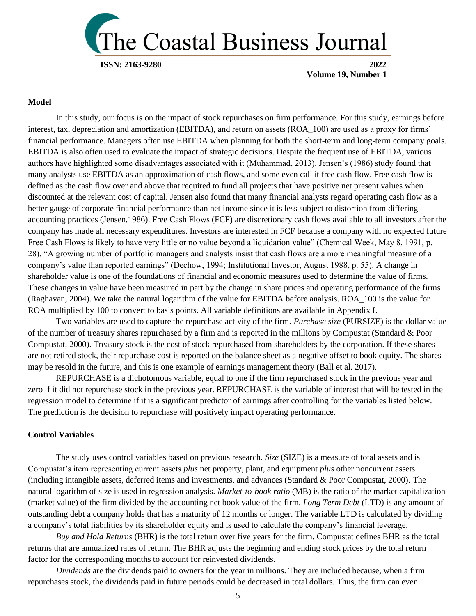

#### **Model**

In this study, our focus is on the impact of stock repurchases on firm performance. For this study, earnings before interest, tax, depreciation and amortization (EBITDA), and return on assets (ROA\_100) are used as a proxy for firms' financial performance. Managers often use EBITDA when planning for both the short-term and long-term company goals. EBITDA is also often used to evaluate the impact of strategic decisions. Despite the frequent use of EBITDA, various authors have highlighted some disadvantages associated with it (Muhammad, 2013). Jensen's (1986) study found that many analysts use EBITDA as an approximation of cash flows, and some even call it free cash flow. Free cash flow is defined as the cash flow over and above that required to fund all projects that have positive net present values when discounted at the relevant cost of capital. Jensen also found that many financial analysts regard operating cash flow as a better gauge of corporate financial performance than net income since it is less subject to distortion from differing accounting practices (Jensen,1986). Free Cash Flows (FCF) are discretionary cash flows available to all investors after the company has made all necessary expenditures. Investors are interested in FCF because a company with no expected future Free Cash Flows is likely to have very little or no value beyond a liquidation value" (Chemical Week, May 8, 1991, p. 28). "A growing number of portfolio managers and analysts insist that cash flows are a more meaningful measure of a company's value than reported earnings" (Dechow, 1994; Institutional Investor, August 1988, p. 55). A change in shareholder value is one of the foundations of financial and economic measures used to determine the value of firms. These changes in value have been measured in part by the change in share prices and operating performance of the firms (Raghavan, 2004). We take the natural logarithm of the value for EBITDA before analysis. ROA\_100 is the value for ROA multiplied by 100 to convert to basis points. All variable definitions are available in Appendix I.

Two variables are used to capture the repurchase activity of the firm. *Purchase size* (PURSIZE) is the dollar value of the number of treasury shares repurchased by a firm and is reported in the millions by Compustat (Standard & Poor Compustat, 2000). Treasury stock is the cost of stock repurchased from shareholders by the corporation. If these shares are not retired stock, their repurchase cost is reported on the balance sheet as a negative offset to book equity. The shares may be resold in the future, and this is one example of earnings management theory (Ball et al. 2017).

REPURCHASE is a dichotomous variable, equal to one if the firm repurchased stock in the previous year and zero if it did not repurchase stock in the previous year. REPURCHASE is the variable of interest that will be tested in the regression model to determine if it is a significant predictor of earnings after controlling for the variables listed below. The prediction is the decision to repurchase will positively impact operating performance.

#### **Control Variables**

The study uses control variables based on previous research. *Size* (SIZE) is a measure of total assets and is Compustat's item representing current assets *plus* net property, plant, and equipment *plus* other noncurrent assets (including intangible assets, deferred items and investments, and advances (Standard & Poor Compustat, 2000). The natural logarithm of size is used in regression analysis. *Market-to-book ratio* (MB) is the ratio of the market capitalization (market value) of the firm divided by the accounting net book value of the firm. *Long Term Debt* (LTD) is any amount of outstanding debt a company holds that has a maturity of 12 months or longer. The variable LTD is calculated by dividing a company's total liabilities by its shareholder equity and is used to calculate the company's financial leverage.

*Buy and Hold Returns* (BHR) is the total return over five years for the firm. Compustat defines BHR as the total returns that are annualized rates of return. The BHR adjusts the beginning and ending stock prices by the total return factor for the corresponding months to account for reinvested dividends.

*Dividends* are the dividends paid to owners for the year in millions. They are included because, when a firm repurchases stock, the dividends paid in future periods could be decreased in total dollars. Thus, the firm can even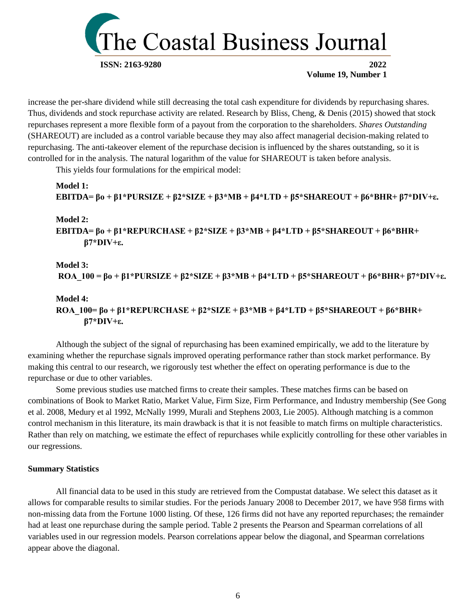

increase the per-share dividend while still decreasing the total cash expenditure for dividends by repurchasing shares. Thus, dividends and stock repurchase activity are related. Research by Bliss, Cheng, & Denis (2015) showed that stock repurchases represent a more flexible form of a payout from the corporation to the shareholders. *Shares Outstanding*  (SHAREOUT) are included as a control variable because they may also affect managerial decision-making related to repurchasing. The anti-takeover element of the repurchase decision is influenced by the shares outstanding, so it is controlled for in the analysis. The natural logarithm of the value for SHAREOUT is taken before analysis.

This yields four formulations for the empirical model:

```
Model 1:
EBITDA= βo + β1*PURSIZE + β2*SIZE + β3*MB + β4*LTD + β5*SHAREOUT + β6*BHR+ β7*DIV+ε.
```
#### **Model 2:**

**EBITDA= βo + β1\*REPURCHASE + β2\*SIZE + β3\*MB + β4\*LTD + β5\*SHAREOUT + β6\*BHR+ β7\*DIV+ε.**

#### **Model 3: ROA\_100 = βo + β1\*PURSIZE + β2\*SIZE + β3\*MB + β4\*LTD + β5\*SHAREOUT + β6\*BHR+ β7\*DIV+ε.**

#### **Model 4:**

**ROA\_100= βo + β1\*REPURCHASE + β2\*SIZE + β3\*MB + β4\*LTD + β5\*SHAREOUT + β6\*BHR+ β7\*DIV+ε.**

Although the subject of the signal of repurchasing has been examined empirically, we add to the literature by examining whether the repurchase signals improved operating performance rather than stock market performance. By making this central to our research, we rigorously test whether the effect on operating performance is due to the repurchase or due to other variables.

Some previous studies use matched firms to create their samples. These matches firms can be based on combinations of Book to Market Ratio, Market Value, Firm Size, Firm Performance, and Industry membership (See Gong et al. 2008, Medury et al 1992, McNally 1999, Murali and Stephens 2003, Lie 2005). Although matching is a common control mechanism in this literature, its main drawback is that it is not feasible to match firms on multiple characteristics. Rather than rely on matching, we estimate the effect of repurchases while explicitly controlling for these other variables in our regressions.

#### **Summary Statistics**

All financial data to be used in this study are retrieved from the Compustat database. We select this dataset as it allows for comparable results to similar studies. For the periods January 2008 to December 2017, we have 958 firms with non-missing data from the Fortune 1000 listing. Of these, 126 firms did not have any reported repurchases; the remainder had at least one repurchase during the sample period. Table 2 presents the Pearson and Spearman correlations of all variables used in our regression models. Pearson correlations appear below the diagonal, and Spearman correlations appear above the diagonal.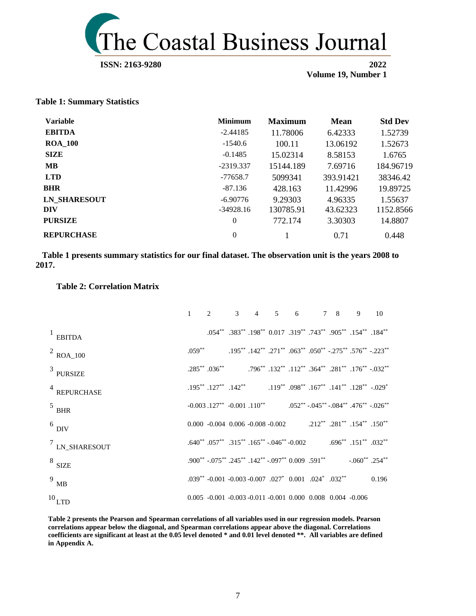

#### **ISSN: 2163-9280** 2022

 **Volume 19, Number 1**

**Table 1: Summary Statistics**

| <b>Variable</b>     | <b>Minimum</b> | <b>Maximum</b> | <b>Mean</b> | <b>Std Dev</b> |
|---------------------|----------------|----------------|-------------|----------------|
| <b>EBITDA</b>       | $-2.44185$     | 11.78006       | 6.42333     | 1.52739        |
| <b>ROA 100</b>      | $-1540.6$      | 100.11         | 13.06192    | 1.52673        |
| <b>SIZE</b>         | $-0.1485$      | 15.02314       | 8.58153     | 1.6765         |
| <b>MB</b>           | $-2319.337$    | 15144.189      | 7.69716     | 184.96719      |
| <b>LTD</b>          | $-77658.7$     | 5099341        | 393.91421   | 38346.42       |
| <b>BHR</b>          | $-87.136$      | 428.163        | 11.42996    | 19.89725       |
| <b>LN SHARESOUT</b> | $-6.90776$     | 9.29303        | 4.96335     | 1.55637        |
| DIV                 | $-34928.16$    | 130785.91      | 43.62323    | 1152.8566      |
| <b>PURSIZE</b>      | $\theta$       | 772.174        | 3.30303     | 14.8807        |
| <b>REPURCHASE</b>   | $\theta$       |                | 0.71        | 0.448          |

 **Table 1 presents summary statistics for our final dataset. The observation unit is the years 2008 to 2017.** 

#### **Table 2: Correlation Matrix**

|                   | $1 \t2 \t3 \t4 \t5 \t6 \t7 \t8 \t9 \t10$                                                                   |  |  |  |                                                                                                                                                                             |
|-------------------|------------------------------------------------------------------------------------------------------------|--|--|--|-----------------------------------------------------------------------------------------------------------------------------------------------------------------------------|
| $1$ EBITDA        |                                                                                                            |  |  |  | .054** .383** .198** 0.017 .319** .743** .905** .154** .184**                                                                                                               |
| $^{2}$ ROA_100    |                                                                                                            |  |  |  | $.059^{**}$ $.195^{**}$ $.142^{**}$ $.271^{**}$ $.063^{**}$ $.050^{**}$ $.275^{**}$ $.576^{**}$ $.223^{**}$                                                                 |
| $3$ PURSIZE       |                                                                                                            |  |  |  | .285 <sup>**</sup> .036 <sup>**</sup> .796 <sup>**</sup> .132 <sup>**</sup> .112 <sup>**</sup> .364 <sup>**</sup> .281 <sup>**</sup> .176 <sup>**</sup> -.032 <sup>**</sup> |
| $4$ REPURCHASE    |                                                                                                            |  |  |  | .195** .127** .142** .198** .098** .167** .141** .128** -.029*                                                                                                              |
| $5$ BHR           |                                                                                                            |  |  |  | $-0.003$ , $127^{**}$ , $-0.001$ , $110^{**}$ , $0.052^{**}$ , $-0.045^{**}$ , $-0.084^{**}$ , $-0.06^{**}$ , $-0.026^{**}$                                                 |
| $6$ DIV           | 0.000 -0.004 0.006 -0.008 -0.002 .212** .281** .154** .150**                                               |  |  |  |                                                                                                                                                                             |
| $7$ LN_SHARESOUT  | $.640^{**}$ $.057^{**}$ $.315^{**}$ $.165^{**}$ $-0.046^{**}$ $-0.002$ $.696^{**}$ $.151^{**}$ $.032^{**}$ |  |  |  |                                                                                                                                                                             |
| $8$ SIZE          | $.900^{**}$ $-.075^{**}$ $.245^{**}$ $.142^{**}$ $-.097^{**}$ $0.009$ $.591^{**}$ $-.060^{**}$ $.254^{**}$ |  |  |  |                                                                                                                                                                             |
| $9$ MB            | $0.039^{**}$ -0.001 -0.003 -0.007 $0.027^*$ 0.001 $0.024^*$ $0.032^{**}$                                   |  |  |  | 0.196                                                                                                                                                                       |
| $^{10}\mbox{LTD}$ | $0.005 -0.001 -0.003 -0.011 -0.001$ $0.000$ $0.008$ $0.004 -0.006$                                         |  |  |  |                                                                                                                                                                             |

**Table 2 presents the Pearson and Spearman correlations of all variables used in our regression models. Pearson correlations appear below the diagonal, and Spearman correlations appear above the diagonal. Correlations coefficients are significant at least at the 0.05 level denoted \* and 0.01 level denoted \*\*. All variables are defined in Appendix A.**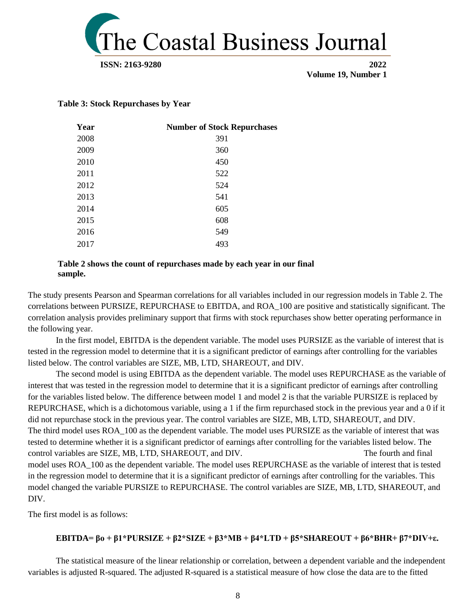

#### **Table 3: Stock Repurchases by Year**

| Year | <b>Number of Stock Repurchases</b> |
|------|------------------------------------|
| 2008 | 391                                |
| 2009 | 360                                |
| 2010 | 450                                |
| 2011 | 522                                |
| 2012 | 524                                |
| 2013 | 541                                |
| 2014 | 605                                |
| 2015 | 608                                |
| 2016 | 549                                |
| 2017 | 493                                |
|      |                                    |

#### **Table 2 shows the count of repurchases made by each year in our final sample.**

The study presents Pearson and Spearman correlations for all variables included in our regression models in Table 2. The correlations between PURSIZE, REPURCHASE to EBITDA, and ROA\_100 are positive and statistically significant. The correlation analysis provides preliminary support that firms with stock repurchases show better operating performance in the following year.

In the first model, EBITDA is the dependent variable. The model uses PURSIZE as the variable of interest that is tested in the regression model to determine that it is a significant predictor of earnings after controlling for the variables listed below. The control variables are SIZE, MB, LTD, SHAREOUT, and DIV.

The second model is using EBITDA as the dependent variable. The model uses REPURCHASE as the variable of interest that was tested in the regression model to determine that it is a significant predictor of earnings after controlling for the variables listed below. The difference between model 1 and model 2 is that the variable PURSIZE is replaced by REPURCHASE, which is a dichotomous variable, using a 1 if the firm repurchased stock in the previous year and a 0 if it did not repurchase stock in the previous year. The control variables are SIZE, MB, LTD, SHAREOUT, and DIV. The third model uses ROA\_100 as the dependent variable. The model uses PURSIZE as the variable of interest that was tested to determine whether it is a significant predictor of earnings after controlling for the variables listed below. The control variables are SIZE, MB, LTD, SHAREOUT, and DIV. The fourth and final model uses ROA\_100 as the dependent variable. The model uses REPURCHASE as the variable of interest that is tested in the regression model to determine that it is a significant predictor of earnings after controlling for the variables. This model changed the variable PURSIZE to REPURCHASE. The control variables are SIZE, MB, LTD, SHAREOUT, and DIV.

The first model is as follows:

#### **EBITDA= βo + β1\*PURSIZE + β2\*SIZE + β3\*MB + β4\*LTD + β5\*SHAREOUT + β6\*BHR+ β7\*DIV+ε.**

The statistical measure of the linear relationship or correlation, between a dependent variable and the independent variables is adjusted R-squared. The adjusted R-squared is a statistical measure of how close the data are to the fitted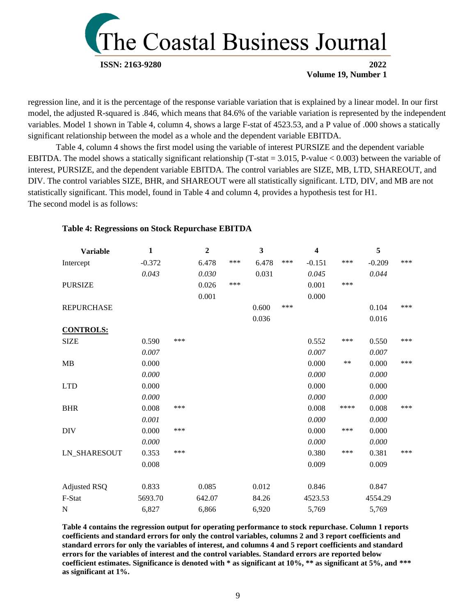

regression line, and it is the percentage of the response variable variation that is explained by a linear model. In our first model, the adjusted R-squared is .846, which means that 84.6% of the variable variation is represented by the independent variables. Model 1 shown in Table 4, column 4, shows a large F-stat of 4523.53, and a P value of .000 shows a statically significant relationship between the model as a whole and the dependent variable EBITDA.

Table 4, column 4 shows the first model using the variable of interest PURSIZE and the dependent variable EBITDA. The model shows a statically significant relationship (T-stat = 3.015, P-value < 0.003) between the variable of interest, PURSIZE, and the dependent variable EBITDA. The control variables are SIZE, MB, LTD, SHAREOUT, and DIV. The control variables SIZE, BHR, and SHAREOUT were all statistically significant. LTD, DIV, and MB are not statistically significant. This model, found in Table 4 and column 4, provides a hypothesis test for H1. The second model is as follows:

#### **Table 4: Regressions on Stock Repurchase EBITDA**

| <b>Variable</b>     | $\mathbf{1}$ |     | $\boldsymbol{2}$ |     | 3     |     | $\overline{\mathbf{4}}$ |       | 5        |     |
|---------------------|--------------|-----|------------------|-----|-------|-----|-------------------------|-------|----------|-----|
| Intercept           | $-0.372$     |     | 6.478            | *** | 6.478 | *** | $-0.151$                | ***   | $-0.209$ | *** |
|                     | 0.043        |     | 0.030            |     | 0.031 |     | 0.045                   |       | 0.044    |     |
| <b>PURSIZE</b>      |              |     | 0.026            | *** |       |     | 0.001                   | ***   |          |     |
|                     |              |     | 0.001            |     |       |     | 0.000                   |       |          |     |
| <b>REPURCHASE</b>   |              |     |                  |     | 0.600 | *** |                         |       | 0.104    | *** |
|                     |              |     |                  |     | 0.036 |     |                         |       | 0.016    |     |
| <b>CONTROLS:</b>    |              |     |                  |     |       |     |                         |       |          |     |
| <b>SIZE</b>         | 0.590        | *** |                  |     |       |     | 0.552                   | ***   | 0.550    | *** |
|                     | 0.007        |     |                  |     |       |     | 0.007                   |       | 0.007    |     |
| MB                  | 0.000        |     |                  |     |       |     | 0.000                   | $***$ | 0.000    | *** |
|                     | 0.000        |     |                  |     |       |     | 0.000                   |       | 0.000    |     |
| <b>LTD</b>          | 0.000        |     |                  |     |       |     | 0.000                   |       | 0.000    |     |
|                     | 0.000        |     |                  |     |       |     | 0.000                   |       | 0.000    |     |
| <b>BHR</b>          | 0.008        | *** |                  |     |       |     | 0.008                   | ****  | 0.008    | *** |
|                     | 0.001        |     |                  |     |       |     | 0.000                   |       | 0.000    |     |
| <b>DIV</b>          | 0.000        | *** |                  |     |       |     | 0.000                   | ***   | 0.000    |     |
|                     | 0.000        |     |                  |     |       |     | 0.000                   |       | 0.000    |     |
| <b>LN_SHARESOUT</b> | 0.353        | *** |                  |     |       |     | 0.380                   | ***   | 0.381    | *** |
|                     | 0.008        |     |                  |     |       |     | 0.009                   |       | 0.009    |     |
| Adjusted RSQ        | 0.833        |     | 0.085            |     | 0.012 |     | 0.846                   |       | 0.847    |     |
| F-Stat              | 5693.70      |     | 642.07           |     | 84.26 |     | 4523.53                 |       | 4554.29  |     |
| N                   | 6,827        |     | 6,866            |     | 6,920 |     | 5,769                   |       | 5,769    |     |

**Table 4 contains the regression output for operating performance to stock repurchase. Column 1 reports coefficients and standard errors for only the control variables, columns 2 and 3 report coefficients and standard errors for only the variables of interest, and columns 4 and 5 report coefficients and standard errors for the variables of interest and the control variables. Standard errors are reported below coefficient estimates. Significance is denoted with \* as significant at 10%, \*\* as significant at 5%, and \*\*\* as significant at 1%.**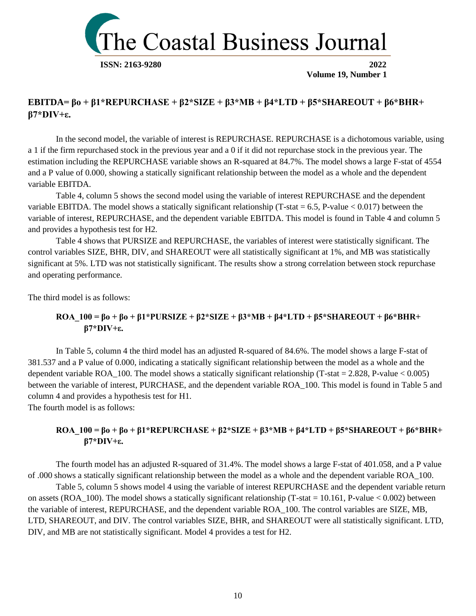

## **EBITDA= βo + β1\*REPURCHASE + β2\*SIZE + β3\*MB + β4\*LTD + β5\*SHAREOUT + β6\*BHR+ β7\*DIV+ε.**

In the second model, the variable of interest is REPURCHASE. REPURCHASE is a dichotomous variable, using a 1 if the firm repurchased stock in the previous year and a 0 if it did not repurchase stock in the previous year. The estimation including the REPURCHASE variable shows an R-squared at 84.7%. The model shows a large F-stat of 4554 and a P value of 0.000, showing a statically significant relationship between the model as a whole and the dependent variable EBITDA.

Table 4, column 5 shows the second model using the variable of interest REPURCHASE and the dependent variable EBITDA. The model shows a statically significant relationship (T-stat  $= 6.5$ , P-value  $< 0.017$ ) between the variable of interest, REPURCHASE, and the dependent variable EBITDA. This model is found in Table 4 and column 5 and provides a hypothesis test for H2.

Table 4 shows that PURSIZE and REPURCHASE, the variables of interest were statistically significant. The control variables SIZE, BHR, DIV, and SHAREOUT were all statistically significant at 1%, and MB was statistically significant at 5%. LTD was not statistically significant. The results show a strong correlation between stock repurchase and operating performance.

The third model is as follows:

### **ROA\_100 = βo + βo + β1\*PURSIZE + β2\*SIZE + β3\*MB + β4\*LTD + β5\*SHAREOUT + β6\*BHR+ β7\*DIV+ε.**

In Table 5, column 4 the third model has an adjusted R-squared of 84.6%. The model shows a large F-stat of 381.537 and a P value of 0.000, indicating a statically significant relationship between the model as a whole and the dependent variable ROA  $100$ . The model shows a statically significant relationship (T-stat = 2.828, P-value < 0.005) between the variable of interest, PURCHASE, and the dependent variable ROA\_100. This model is found in Table 5 and column 4 and provides a hypothesis test for H1. The fourth model is as follows:

## **ROA\_100 = βo + βo + β1\*REPURCHASE + β2\*SIZE + β3\*MB + β4\*LTD + β5\*SHAREOUT + β6\*BHR+ β7\*DIV+ε.**

The fourth model has an adjusted R-squared of 31.4%. The model shows a large F-stat of 401.058, and a P value of .000 shows a statically significant relationship between the model as a whole and the dependent variable ROA\_100.

Table 5, column 5 shows model 4 using the variable of interest REPURCHASE and the dependent variable return on assets (ROA\_100). The model shows a statically significant relationship (T-stat = 10.161, P-value  $< 0.002$ ) between the variable of interest, REPURCHASE, and the dependent variable ROA\_100. The control variables are SIZE, MB, LTD, SHAREOUT, and DIV. The control variables SIZE, BHR, and SHAREOUT were all statistically significant. LTD, DIV, and MB are not statistically significant. Model 4 provides a test for H2.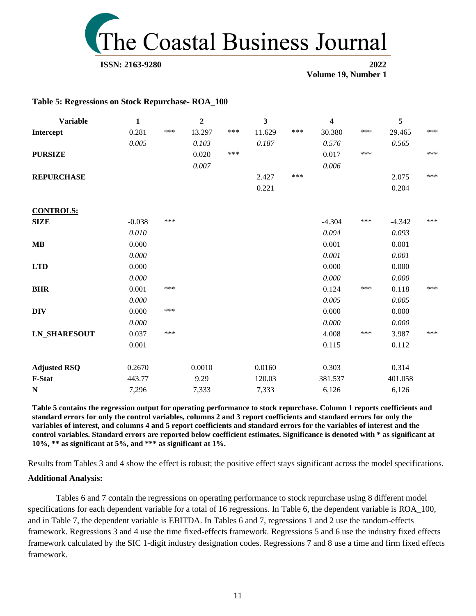

#### **Table 5: Regressions on Stock Repurchase- ROA\_100**

| <b>Variable</b>     | $\mathbf{1}$ |     | $\boldsymbol{2}$ |     | 3      |     | 4        |     | 5        |     |
|---------------------|--------------|-----|------------------|-----|--------|-----|----------|-----|----------|-----|
| Intercept           | 0.281        | *** | 13.297           | *** | 11.629 | *** | 30.380   | *** | 29.465   | *** |
|                     | 0.005        |     | 0.103            |     | 0.187  |     | 0.576    |     | 0.565    |     |
| <b>PURSIZE</b>      |              |     | 0.020            | *** |        |     | 0.017    | *** |          | *** |
|                     |              |     | $0.007\,$        |     |        |     | 0.006    |     |          |     |
| <b>REPURCHASE</b>   |              |     |                  |     | 2.427  | *** |          |     | 2.075    | *** |
|                     |              |     |                  |     | 0.221  |     |          |     | 0.204    |     |
| <b>CONTROLS:</b>    |              |     |                  |     |        |     |          |     |          |     |
| <b>SIZE</b>         | $-0.038$     | *** |                  |     |        |     | $-4.304$ | *** | $-4.342$ | *** |
|                     | 0.010        |     |                  |     |        |     | 0.094    |     | 0.093    |     |
| <b>MB</b>           | 0.000        |     |                  |     |        |     | 0.001    |     | 0.001    |     |
|                     | 0.000        |     |                  |     |        |     | 0.001    |     | 0.001    |     |
| <b>LTD</b>          | 0.000        |     |                  |     |        |     | 0.000    |     | 0.000    |     |
|                     | 0.000        |     |                  |     |        |     | 0.000    |     | 0.000    |     |
| <b>BHR</b>          | 0.001        | *** |                  |     |        |     | 0.124    | *** | 0.118    | *** |
|                     | 0.000        |     |                  |     |        |     | 0.005    |     | 0.005    |     |
| <b>DIV</b>          | 0.000        | *** |                  |     |        |     | 0.000    |     | 0.000    |     |
|                     | 0.000        |     |                  |     |        |     | 0.000    |     | 0.000    |     |
| <b>LN_SHARESOUT</b> | 0.037        | *** |                  |     |        |     | 4.008    | *** | 3.987    | *** |
|                     | 0.001        |     |                  |     |        |     | 0.115    |     | 0.112    |     |
| <b>Adjusted RSQ</b> | 0.2670       |     | 0.0010           |     | 0.0160 |     | 0.303    |     | 0.314    |     |
| F-Stat              | 443.77       |     | 9.29             |     | 120.03 |     | 381.537  |     | 401.058  |     |
| N                   | 7,296        |     | 7,333            |     | 7,333  |     | 6,126    |     | 6,126    |     |

**Table 5 contains the regression output for operating performance to stock repurchase. Column 1 reports coefficients and standard errors for only the control variables, columns 2 and 3 report coefficients and standard errors for only the variables of interest, and columns 4 and 5 report coefficients and standard errors for the variables of interest and the control variables. Standard errors are reported below coefficient estimates. Significance is denoted with \* as significant at 10%, \*\* as significant at 5%, and \*\*\* as significant at 1%.**

Results from Tables 3 and 4 show the effect is robust; the positive effect stays significant across the model specifications.

#### **Additional Analysis:**

Tables 6 and 7 contain the regressions on operating performance to stock repurchase using 8 different model specifications for each dependent variable for a total of 16 regressions. In Table 6, the dependent variable is ROA\_100, and in Table 7, the dependent variable is EBITDA. In Tables 6 and 7, regressions 1 and 2 use the random-effects framework. Regressions 3 and 4 use the time fixed-effects framework. Regressions 5 and 6 use the industry fixed effects framework calculated by the SIC 1-digit industry designation codes. Regressions 7 and 8 use a time and firm fixed effects framework.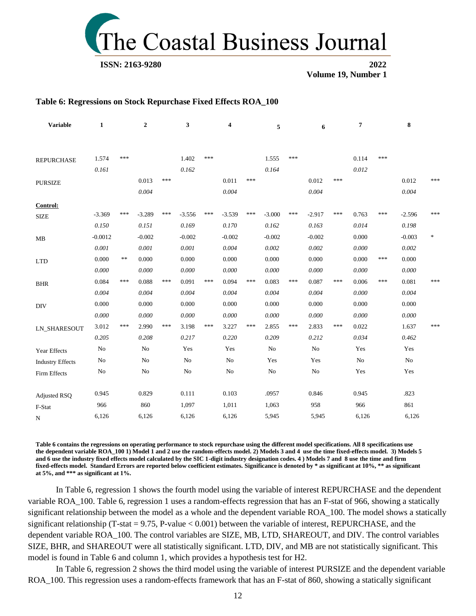

#### **Table 6: Regressions on Stock Repurchase Fixed Effects ROA\_100**

| <b>Variable</b>         | $\mathbf{1}$ |            | $\overline{2}$ |     | $\mathbf{3}$ |       | 4        |     | 5        |     | 6        |     | 7     |     | 8        |                                   |
|-------------------------|--------------|------------|----------------|-----|--------------|-------|----------|-----|----------|-----|----------|-----|-------|-----|----------|-----------------------------------|
| <b>REPURCHASE</b>       | 1.574        | ***        |                |     | 1.402        | ***   |          |     | 1.555    | *** |          |     | 0.114 | *** |          |                                   |
|                         | 0.161        |            |                |     | 0.162        |       |          |     | 0.164    |     |          |     | 0.012 |     |          |                                   |
| <b>PURSIZE</b>          |              |            | 0.013          | *** |              |       | 0.011    | *** |          |     | 0.012    | *** |       |     | 0.012    | ***                               |
|                         |              |            | 0.004          |     |              |       | 0.004    |     |          |     | 0.004    |     |       |     | 0.004    |                                   |
| Control:                |              |            |                |     |              |       |          |     |          |     |          |     |       |     |          |                                   |
| <b>SIZE</b>             | $-3.369$     | ***        | $-3.289$       | *** | $-3.556$     | $***$ | $-3.539$ | *** | $-3.000$ | *** | $-2.917$ | *** | 0.763 | *** | $-2.596$ | ***                               |
|                         | 0.150        |            | 0.151          |     | 0.169        |       | 0.170    |     | 0.162    |     | 0.163    |     | 0.014 |     | 0.198    |                                   |
| MB                      | $-0.0012$    |            | $-0.002$       |     | $-0.002$     |       | $-0.002$ |     | $-0.002$ |     | $-0.002$ |     | 0.000 |     | $-0.003$ | $\frac{d\mathbf{r}}{d\mathbf{r}}$ |
|                         | 0.001        |            | 0.001          |     | 0.001        |       | 0.004    |     | 0.002    |     | 0.002    |     | 0.000 |     | 0.002    |                                   |
| <b>LTD</b>              | 0.000        | $\ast\ast$ | 0.000          |     | 0.000        |       | 0.000    |     | 0.000    |     | 0.000    |     | 0.000 | *** | 0.000    |                                   |
|                         | 0.000        |            | 0.000          |     | 0.000        |       | 0.000    |     | 0.000    |     | 0.000    |     | 0.000 |     | 0.000    |                                   |
| <b>BHR</b>              | 0.084        | ***        | 0.088          | *** | 0.091        | ***   | 0.094    | *** | 0.083    | *** | 0.087    | *** | 0.006 | *** | 0.081    | ***                               |
|                         | 0.004        |            | 0.004          |     | 0.004        |       | 0.004    |     | 0.004    |     | 0.004    |     | 0.000 |     | 0.004    |                                   |
| <b>DIV</b>              | 0.000        |            | 0.000          |     | 0.000        |       | 0.000    |     | 0.000    |     | 0.000    |     | 0.000 |     | 0.000    |                                   |
|                         | 0.000        |            | 0.000          |     | 0.000        |       | 0.000    |     | 0.000    |     | 0.000    |     | 0.000 |     | 0.000    |                                   |
| <b>LN_SHARESOUT</b>     | 3.012        | ***        | 2.990          | *** | 3.198        | ***   | 3.227    | *** | 2.855    | *** | 2.833    | *** | 0.022 |     | 1.637    | ***                               |
|                         | 0.205        |            | 0.208          |     | 0.217        |       | 0.220    |     | 0.209    |     | 0.212    |     | 0.034 |     | 0.462    |                                   |
| Year Effects            | No           |            | No             |     | Yes          |       | Yes      |     | No       |     | No       |     | Yes   |     | Yes      |                                   |
| <b>Industry Effects</b> | No           |            | N <sub>o</sub> |     | No           |       | No       |     | Yes      |     | Yes      |     | No    |     | No       |                                   |
| Firm Effects            | $\rm No$     |            | $\rm No$       |     | $\rm No$     |       | No       |     | $\rm No$ |     | No       |     | Yes   |     | Yes      |                                   |
| <b>Adjusted RSQ</b>     | 0.945        |            | 0.829          |     | 0.111        |       | 0.103    |     | .0957    |     | 0.846    |     | 0.945 |     | .823     |                                   |
| F-Stat                  | 966          |            | 860            |     | 1,097        |       | 1,011    |     | 1,063    |     | 958      |     | 966   |     | 861      |                                   |
| $_{\rm N}$              | 6,126        |            | 6,126          |     | 6,126        |       | 6,126    |     | 5,945    |     | 5,945    |     | 6,126 |     | 6,126    |                                   |

**Table 6 contains the regressions on operating performance to stock repurchase using the different model specifications. All 8 specifications use the dependent variable ROA\_100 1) Model 1 and 2 use the random-effects model. 2) Models 3 and 4 use the time fixed-effects model. 3) Models 5 and 6 use the industry fixed effects model calculated by the SIC 1-digit industry designation codes. 4 ) Models 7 and 8 use the time and firm fixed-effects model. Standard Errors are reported below coefficient estimates. Significance is denoted by \* as significant at 10%, \*\* as significant at 5%, and \*\*\* as significant at 1%.**

In Table 6, regression 1 shows the fourth model using the variable of interest REPURCHASE and the dependent variable ROA\_100. Table 6, regression 1 uses a random-effects regression that has an F-stat of 966, showing a statically significant relationship between the model as a whole and the dependent variable ROA\_100. The model shows a statically significant relationship (T-stat =  $9.75$ , P-value < 0.001) between the variable of interest, REPURCHASE, and the dependent variable ROA\_100. The control variables are SIZE, MB, LTD, SHAREOUT, and DIV. The control variables SIZE, BHR, and SHAREOUT were all statistically significant. LTD, DIV, and MB are not statistically significant. This model is found in Table 6 and column 1, which provides a hypothesis test for H2.

In Table 6, regression 2 shows the third model using the variable of interest PURSIZE and the dependent variable ROA\_100. This regression uses a random-effects framework that has an F-stat of 860, showing a statically significant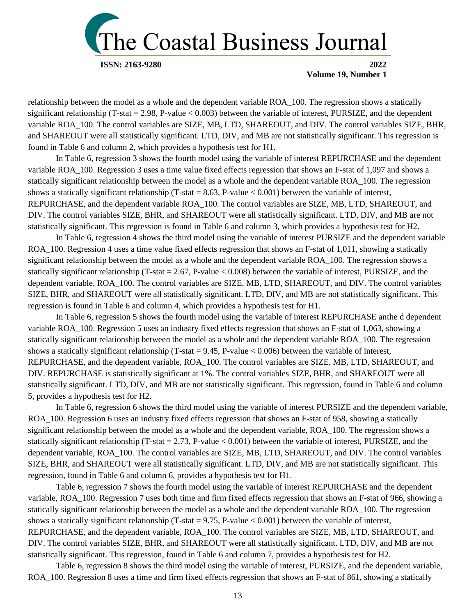

relationship between the model as a whole and the dependent variable ROA\_100. The regression shows a statically significant relationship (T-stat = 2.98, P-value  $< 0.003$ ) between the variable of interest, PURSIZE, and the dependent variable ROA\_100. The control variables are SIZE, MB, LTD, SHAREOUT, and DIV. The control variables SIZE, BHR, and SHAREOUT were all statistically significant. LTD, DIV, and MB are not statistically significant. This regression is found in Table 6 and column 2, which provides a hypothesis test for H1.

In Table 6, regression 3 shows the fourth model using the variable of interest REPURCHASE and the dependent variable ROA\_100. Regression 3 uses a time value fixed effects regression that shows an F-stat of 1,097 and shows a statically significant relationship between the model as a whole and the dependent variable ROA\_100. The regression shows a statically significant relationship (T-stat = 8.63, P-value < 0.001) between the variable of interest, REPURCHASE, and the dependent variable ROA\_100. The control variables are SIZE, MB, LTD, SHAREOUT, and DIV. The control variables SIZE, BHR, and SHAREOUT were all statistically significant. LTD, DIV, and MB are not statistically significant. This regression is found in Table 6 and column 3, which provides a hypothesis test for H2.

In Table 6, regression 4 shows the third model using the variable of interest PURSIZE and the dependent variable ROA\_100. Regression 4 uses a time value fixed effects regression that shows an F-stat of 1,011, showing a statically significant relationship between the model as a whole and the dependent variable ROA\_100. The regression shows a statically significant relationship (T-stat  $= 2.67$ , P-value  $< 0.008$ ) between the variable of interest, PURSIZE, and the dependent variable, ROA\_100. The control variables are SIZE, MB, LTD, SHAREOUT, and DIV. The control variables SIZE, BHR, and SHAREOUT were all statistically significant. LTD, DIV, and MB are not statistically significant. This regression is found in Table 6 and column 4, which provides a hypothesis test for H1.

In Table 6, regression 5 shows the fourth model using the variable of interest REPURCHASE anthe d dependent variable ROA\_100. Regression 5 uses an industry fixed effects regression that shows an F-stat of 1,063, showing a statically significant relationship between the model as a whole and the dependent variable ROA\_100. The regression shows a statically significant relationship (T-stat =  $9.45$ , P-value < 0.006) between the variable of interest, REPURCHASE, and the dependent variable, ROA\_100. The control variables are SIZE, MB, LTD, SHAREOUT, and DIV. REPURCHASE is statistically significant at 1%. The control variables SIZE, BHR, and SHAREOUT were all statistically significant. LTD, DIV, and MB are not statistically significant. This regression, found in Table 6 and column 5, provides a hypothesis test for H2.

In Table 6, regression 6 shows the third model using the variable of interest PURSIZE and the dependent variable, ROA\_100. Regression 6 uses an industry fixed effects regression that shows an F-stat of 958, showing a statically significant relationship between the model as a whole and the dependent variable, ROA 100. The regression shows a statically significant relationship (T-stat  $= 2.73$ , P-value  $< 0.001$ ) between the variable of interest, PURSIZE, and the dependent variable, ROA\_100. The control variables are SIZE, MB, LTD, SHAREOUT, and DIV. The control variables SIZE, BHR, and SHAREOUT were all statistically significant. LTD, DIV, and MB are not statistically significant. This regression, found in Table 6 and column 6, provides a hypothesis test for H1.

Table 6, regression 7 shows the fourth model using the variable of interest REPURCHASE and the dependent variable, ROA\_100. Regression 7 uses both time and firm fixed effects regression that shows an F-stat of 966, showing a statically significant relationship between the model as a whole and the dependent variable ROA\_100. The regression shows a statically significant relationship (T-stat =  $9.75$ , P-value < 0.001) between the variable of interest, REPURCHASE, and the dependent variable, ROA\_100. The control variables are SIZE, MB, LTD, SHAREOUT, and DIV. The control variables SIZE, BHR, and SHAREOUT were all statistically significant. LTD, DIV, and MB are not statistically significant. This regression, found in Table 6 and column 7, provides a hypothesis test for H2.

Table 6, regression 8 shows the third model using the variable of interest, PURSIZE, and the dependent variable, ROA\_100. Regression 8 uses a time and firm fixed effects regression that shows an F-stat of 861, showing a statically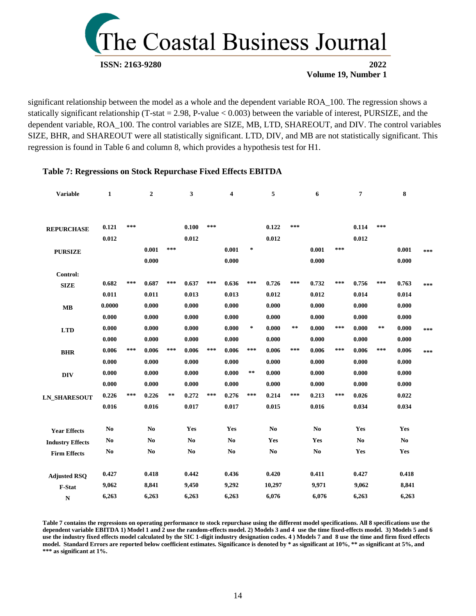

significant relationship between the model as a whole and the dependent variable ROA\_100. The regression shows a statically significant relationship (T-stat = 2.98, P-value < 0.003) between the variable of interest, PURSIZE, and the dependent variable, ROA\_100. The control variables are SIZE, MB, LTD, SHAREOUT, and DIV. The control variables SIZE, BHR, and SHAREOUT were all statistically significant. LTD, DIV, and MB are not statistically significant. This regression is found in Table 6 and column 8, which provides a hypothesis test for H1.

#### **Table 7: Regressions on Stock Repurchase Fixed Effects EBITDA**

| <b>Variable</b>         | $\mathbf{1}$   |     | $\boldsymbol{2}$ |       | 3              |     | 4              |        | 5      |              | 6              |     | 7             |            | ${\bf 8}$     |     |
|-------------------------|----------------|-----|------------------|-------|----------------|-----|----------------|--------|--------|--------------|----------------|-----|---------------|------------|---------------|-----|
| <b>REPURCHASE</b>       | 0.121          | *** |                  |       | 0.100          | *** |                |        | 0.122  | ***          |                |     | 0.114         | ***        |               |     |
|                         | 0.012          |     |                  |       | 0.012          |     |                |        | 0.012  |              |                |     | 0.012         |            |               |     |
| <b>PURSIZE</b>          |                |     | 0.001            | ***   |                |     | 0.001          | $\ast$ |        |              | 0.001          | *** |               |            | 0.001         | *** |
|                         |                |     | 0.000            |       |                |     | 0.000          |        |        |              | 0.000          |     |               |            | 0.000         |     |
| Control:                |                |     |                  |       |                |     |                |        |        |              |                |     |               |            |               |     |
| <b>SIZE</b>             | 0.682          | *** | 0.687            | ***   | 0.637          | *** | 0.636          | $***$  | 0.726  | ***          | 0.732          | *** | 0.756         | ***        | 0.763         | *** |
|                         | 0.011          |     | 0.011            |       | 0.013          |     | 0.013          |        | 0.012  |              | 0.012          |     | 0.014         |            | 0.014         |     |
| MB                      | 0.0000         |     | 0.000            |       | 0.000          |     | 0.000          |        | 0.000  |              | 0.000          |     | 0.000         |            | 0.000         |     |
|                         | 0.000          |     | 0.000            |       | 0.000          |     | 0.000          |        | 0.000  |              | 0.000          |     | 0.000         |            | 0.000         |     |
| <b>LTD</b>              | 0.000          |     | 0.000            |       | 0.000          |     | 0.000          | $\ast$ | 0.000  | $\star\star$ | 0.000          | *** | 0.000         | $\ast\ast$ | 0.000         | *** |
|                         | 0.000          |     | 0.000            |       | 0.000          |     | 0.000          |        | 0.000  |              | 0.000          |     | 0.000         |            | 0.000         |     |
| <b>BHR</b>              | 0.006          | *** | 0.006            | $***$ | 0.006          | *** | 0.006          | $***$  | 0.006  | ***          | 0.006          | *** | 0.006         | ***        | 0.006         | *** |
|                         | 0.000          |     | 0.000            |       | 0.000          |     | 0.000          |        | 0.000  |              | 0.000          |     | 0.000         |            | 0.000         |     |
| <b>DIV</b>              | 0.000          |     | 0.000            |       | 0.000          |     | 0.000          | $***$  | 0.000  |              | 0.000          |     | 0.000         |            | 0.000         |     |
|                         | 0.000          |     | 0.000            |       | 0.000          |     | 0.000          |        | 0.000  |              | 0.000          |     | 0.000         |            | 0.000         |     |
| <b>LN_SHARESOUT</b>     | 0.226          | *** | 0.226            | **    | 0.272          | *** | 0.276          | $***$  | 0.214  | ***          | 0.213          | *** | 0.026         |            | 0.022         |     |
|                         | 0.016          |     | 0.016            |       | 0.017          |     | 0.017          |        | 0.015  |              | 0.016          |     | 0.034         |            | 0.034         |     |
| <b>Year Effects</b>     | No             |     | N <sub>0</sub>   |       | Yes            |     | Yes            |        | No     |              | N <sub>0</sub> |     | Yes           |            | Yes           |     |
| <b>Industry Effects</b> | N <sub>0</sub> |     | N <sub>0</sub>   |       | N <sub>0</sub> |     | N <sub>0</sub> |        | Yes    |              | Yes            |     | $\mathbf{No}$ |            | $\mathbf{No}$ |     |
| <b>Firm Effects</b>     | N <sub>0</sub> |     | N <sub>0</sub>   |       | No             |     | N <sub>0</sub> |        | No     |              | No             |     | Yes           |            | Yes           |     |
| <b>Adjusted RSQ</b>     | 0.427          |     | 0.418            |       | 0.442          |     | 0.436          |        | 0.420  |              | 0.411          |     | 0.427         |            | 0.418         |     |
| F-Stat                  | 9,062          |     | 8,841            |       | 9,450          |     | 9,292          |        | 10,297 |              | 9,971          |     | 9,062         |            | 8,841         |     |
| ${\bf N}$               | 6,263          |     | 6,263            |       | 6,263          |     | 6,263          |        | 6,076  |              | 6,076          |     | 6,263         |            | 6,263         |     |

**Table 7 contains the regressions on operating performance to stock repurchase using the different model specifications. All 8 specifications use the dependent variable EBITDA 1) Model 1 and 2 use the random-effects model. 2) Models 3 and 4 use the time fixed-effects model. 3) Models 5 and 6 use the industry fixed effects model calculated by the SIC 1-digit industry designation codes. 4 ) Models 7 and 8 use the time and firm fixed effects model. Standard Errors are reported below coefficient estimates. Significance is denoted by \* as significant at 10%, \*\* as significant at 5%, and \*\*\* as significant at 1%.**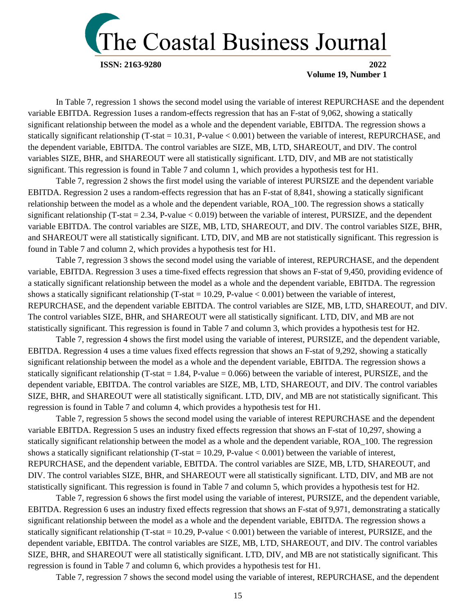

In Table 7, regression 1 shows the second model using the variable of interest REPURCHASE and the dependent variable EBITDA. Regression 1uses a random-effects regression that has an F-stat of 9,062, showing a statically significant relationship between the model as a whole and the dependent variable, EBITDA. The regression shows a statically significant relationship (T-stat = 10.31, P-value  $< 0.001$ ) between the variable of interest, REPURCHASE, and the dependent variable, EBITDA. The control variables are SIZE, MB, LTD, SHAREOUT, and DIV. The control variables SIZE, BHR, and SHAREOUT were all statistically significant. LTD, DIV, and MB are not statistically significant. This regression is found in Table 7 and column 1, which provides a hypothesis test for H1.

Table 7, regression 2 shows the first model using the variable of interest PURSIZE and the dependent variable EBITDA. Regression 2 uses a random-effects regression that has an F-stat of 8,841, showing a statically significant relationship between the model as a whole and the dependent variable, ROA\_100. The regression shows a statically significant relationship (T-stat = 2.34, P-value  $< 0.019$ ) between the variable of interest, PURSIZE, and the dependent variable EBITDA. The control variables are SIZE, MB, LTD, SHAREOUT, and DIV. The control variables SIZE, BHR, and SHAREOUT were all statistically significant. LTD, DIV, and MB are not statistically significant. This regression is found in Table 7 and column 2, which provides a hypothesis test for H1.

Table 7, regression 3 shows the second model using the variable of interest, REPURCHASE, and the dependent variable, EBITDA. Regression 3 uses a time-fixed effects regression that shows an F-stat of 9,450, providing evidence of a statically significant relationship between the model as a whole and the dependent variable, EBITDA. The regression shows a statically significant relationship (T-stat = 10.29, P-value  $< 0.001$ ) between the variable of interest, REPURCHASE, and the dependent variable EBITDA. The control variables are SIZE, MB, LTD, SHAREOUT, and DIV. The control variables SIZE, BHR, and SHAREOUT were all statistically significant. LTD, DIV, and MB are not statistically significant. This regression is found in Table 7 and column 3, which provides a hypothesis test for H2.

Table 7, regression 4 shows the first model using the variable of interest, PURSIZE, and the dependent variable, EBITDA. Regression 4 uses a time values fixed effects regression that shows an F-stat of 9,292, showing a statically significant relationship between the model as a whole and the dependent variable, EBITDA. The regression shows a statically significant relationship (T-stat  $= 1.84$ , P-value  $= 0.066$ ) between the variable of interest, PURSIZE, and the dependent variable, EBITDA. The control variables are SIZE, MB, LTD, SHAREOUT, and DIV. The control variables SIZE, BHR, and SHAREOUT were all statistically significant. LTD, DIV, and MB are not statistically significant. This regression is found in Table 7 and column 4, which provides a hypothesis test for H1.

Table 7, regression 5 shows the second model using the variable of interest REPURCHASE and the dependent variable EBITDA. Regression 5 uses an industry fixed effects regression that shows an F-stat of 10,297, showing a statically significant relationship between the model as a whole and the dependent variable, ROA\_100. The regression shows a statically significant relationship (T-stat = 10.29, P-value  $< 0.001$ ) between the variable of interest, REPURCHASE, and the dependent variable, EBITDA. The control variables are SIZE, MB, LTD, SHAREOUT, and DIV. The control variables SIZE, BHR, and SHAREOUT were all statistically significant. LTD, DIV, and MB are not statistically significant. This regression is found in Table 7 and column 5, which provides a hypothesis test for H2.

Table 7, regression 6 shows the first model using the variable of interest, PURSIZE, and the dependent variable, EBITDA. Regression 6 uses an industry fixed effects regression that shows an F-stat of 9,971, demonstrating a statically significant relationship between the model as a whole and the dependent variable, EBITDA. The regression shows a statically significant relationship (T-stat = 10.29, P-value  $< 0.001$ ) between the variable of interest, PURSIZE, and the dependent variable, EBITDA. The control variables are SIZE, MB, LTD, SHAREOUT, and DIV. The control variables SIZE, BHR, and SHAREOUT were all statistically significant. LTD, DIV, and MB are not statistically significant. This regression is found in Table 7 and column 6, which provides a hypothesis test for H1.

Table 7, regression 7 shows the second model using the variable of interest, REPURCHASE, and the dependent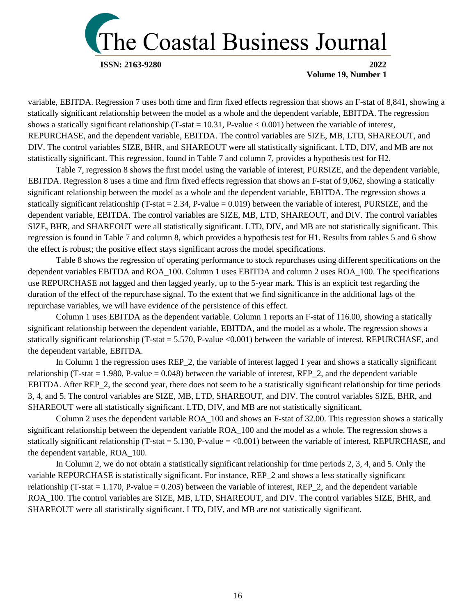

variable, EBITDA. Regression 7 uses both time and firm fixed effects regression that shows an F-stat of 8,841, showing a statically significant relationship between the model as a whole and the dependent variable, EBITDA. The regression shows a statically significant relationship (T-stat = 10.31, P-value  $< 0.001$ ) between the variable of interest, REPURCHASE, and the dependent variable, EBITDA. The control variables are SIZE, MB, LTD, SHAREOUT, and DIV. The control variables SIZE, BHR, and SHAREOUT were all statistically significant. LTD, DIV, and MB are not statistically significant. This regression, found in Table 7 and column 7, provides a hypothesis test for H2.

Table 7, regression 8 shows the first model using the variable of interest, PURSIZE, and the dependent variable, EBITDA. Regression 8 uses a time and firm fixed effects regression that shows an F-stat of 9,062, showing a statically significant relationship between the model as a whole and the dependent variable, EBITDA. The regression shows a statically significant relationship (T-stat  $= 2.34$ , P-value  $= 0.019$ ) between the variable of interest, PURSIZE, and the dependent variable, EBITDA. The control variables are SIZE, MB, LTD, SHAREOUT, and DIV. The control variables SIZE, BHR, and SHAREOUT were all statistically significant. LTD, DIV, and MB are not statistically significant. This regression is found in Table 7 and column 8, which provides a hypothesis test for H1. Results from tables 5 and 6 show the effect is robust; the positive effect stays significant across the model specifications.

Table 8 shows the regression of operating performance to stock repurchases using different specifications on the dependent variables EBITDA and ROA\_100. Column 1 uses EBITDA and column 2 uses ROA\_100. The specifications use REPURCHASE not lagged and then lagged yearly, up to the 5-year mark. This is an explicit test regarding the duration of the effect of the repurchase signal. To the extent that we find significance in the additional lags of the repurchase variables, we will have evidence of the persistence of this effect.

Column 1 uses EBITDA as the dependent variable. Column 1 reports an F-stat of 116.00, showing a statically significant relationship between the dependent variable, EBITDA, and the model as a whole. The regression shows a statically significant relationship (T-stat  $= 5.570$ , P-value  $<0.001$ ) between the variable of interest, REPURCHASE, and the dependent variable, EBITDA.

In Column 1 the regression uses REP\_2, the variable of interest lagged 1 year and shows a statically significant relationship (T-stat  $= 1.980$ , P-value  $= 0.048$ ) between the variable of interest, REP 2, and the dependent variable EBITDA. After REP\_2, the second year, there does not seem to be a statistically significant relationship for time periods 3, 4, and 5. The control variables are SIZE, MB, LTD, SHAREOUT, and DIV. The control variables SIZE, BHR, and SHAREOUT were all statistically significant. LTD, DIV, and MB are not statistically significant.

Column 2 uses the dependent variable ROA\_100 and shows an F-stat of 32.00. This regression shows a statically significant relationship between the dependent variable ROA\_100 and the model as a whole. The regression shows a statically significant relationship (T-stat = 5.130, P-value =  $< 0.001$ ) between the variable of interest, REPURCHASE, and the dependent variable, ROA\_100.

In Column 2, we do not obtain a statistically significant relationship for time periods 2, 3, 4, and 5. Only the variable REPURCHASE is statistically significant. For instance, REP\_2 and shows a less statically significant relationship (T-stat  $= 1.170$ , P-value  $= 0.205$ ) between the variable of interest, REP<sub>\_2</sub>, and the dependent variable ROA\_100. The control variables are SIZE, MB, LTD, SHAREOUT, and DIV. The control variables SIZE, BHR, and SHAREOUT were all statistically significant. LTD, DIV, and MB are not statistically significant.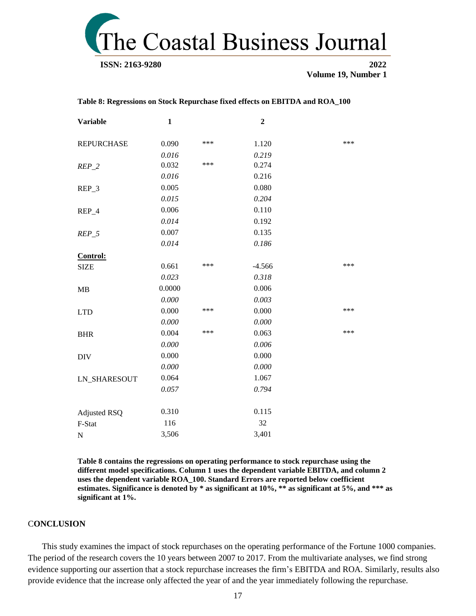

| <b>Variable</b>     | $\mathbf{1}$ |     | $\overline{2}$ |     |
|---------------------|--------------|-----|----------------|-----|
| <b>REPURCHASE</b>   | 0.090        | *** | 1.120          | *** |
|                     | 0.016        |     | 0.219          |     |
| $REP_2$             | 0.032        | *** | 0.274          |     |
|                     | 0.016        |     | 0.216          |     |
| REP_3               | 0.005        |     | 0.080          |     |
|                     | 0.015        |     | 0.204          |     |
| REP_4               | 0.006        |     | 0.110          |     |
|                     | 0.014        |     | 0.192          |     |
| $REP_5$             | 0.007        |     | 0.135          |     |
|                     | 0.014        |     | 0.186          |     |
| Control:            |              |     |                |     |
| <b>SIZE</b>         | 0.661        | *** | $-4.566$       | *** |
|                     | 0.023        |     | 0.318          |     |
| MB                  | 0.0000       |     | 0.006          |     |
|                     | 0.000        |     | 0.003          |     |
| <b>LTD</b>          | 0.000        | *** | 0.000          | *** |
|                     | 0.000        |     | 0.000          |     |
| <b>BHR</b>          | 0.004        | *** | 0.063          | *** |
|                     | 0.000        |     | 0.006          |     |
| <b>DIV</b>          | 0.000        |     | 0.000          |     |
|                     | 0.000        |     | 0.000          |     |
| <b>LN_SHARESOUT</b> | 0.064        |     | 1.067          |     |
|                     | 0.057        |     | 0.794          |     |
|                     |              |     |                |     |
| <b>Adjusted RSQ</b> | 0.310        |     | 0.115          |     |
| F-Stat              | 116          |     | 32             |     |
| $\mathbf N$         | 3,506        |     | 3,401          |     |

**Table 8: Regressions on Stock Repurchase fixed effects on EBITDA and ROA\_100**

**Table 8 contains the regressions on operating performance to stock repurchase using the different model specifications. Column 1 uses the dependent variable EBITDA, and column 2 uses the dependent variable ROA\_100. Standard Errors are reported below coefficient estimates. Significance is denoted by \* as significant at 10%, \*\* as significant at 5%, and \*\*\* as significant at 1%.**

#### C**ONCLUSION**

This study examines the impact of stock repurchases on the operating performance of the Fortune 1000 companies. The period of the research covers the 10 years between 2007 to 2017. From the multivariate analyses, we find strong evidence supporting our assertion that a stock repurchase increases the firm's EBITDA and ROA. Similarly, results also provide evidence that the increase only affected the year of and the year immediately following the repurchase.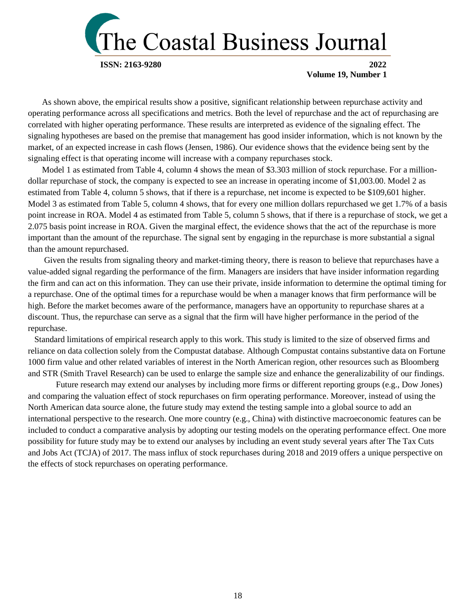

As shown above, the empirical results show a positive, significant relationship between repurchase activity and operating performance across all specifications and metrics. Both the level of repurchase and the act of repurchasing are correlated with higher operating performance. These results are interpreted as evidence of the signaling effect. The signaling hypotheses are based on the premise that management has good insider information, which is not known by the market, of an expected increase in cash flows (Jensen, 1986). Our evidence shows that the evidence being sent by the signaling effect is that operating income will increase with a company repurchases stock.

Model 1 as estimated from Table 4, column 4 shows the mean of \$3.303 million of stock repurchase. For a milliondollar repurchase of stock, the company is expected to see an increase in operating income of \$1,003.00. Model 2 as estimated from Table 4, column 5 shows, that if there is a repurchase, net income is expected to be \$109,601 higher. Model 3 as estimated from Table 5, column 4 shows, that for every one million dollars repurchased we get 1.7% of a basis point increase in ROA. Model 4 as estimated from Table 5, column 5 shows, that if there is a repurchase of stock, we get a 2.075 basis point increase in ROA. Given the marginal effect, the evidence shows that the act of the repurchase is more important than the amount of the repurchase. The signal sent by engaging in the repurchase is more substantial a signal than the amount repurchased.

Given the results from signaling theory and market-timing theory, there is reason to believe that repurchases have a value-added signal regarding the performance of the firm. Managers are insiders that have insider information regarding the firm and can act on this information. They can use their private, inside information to determine the optimal timing for a repurchase. One of the optimal times for a repurchase would be when a manager knows that firm performance will be high. Before the market becomes aware of the performance, managers have an opportunity to repurchase shares at a discount. Thus, the repurchase can serve as a signal that the firm will have higher performance in the period of the repurchase.

 Standard limitations of empirical research apply to this work. This study is limited to the size of observed firms and reliance on data collection solely from the Compustat database. Although Compustat contains substantive data on Fortune 1000 firm value and other related variables of interest in the North American region, other resources such as Bloomberg and STR (Smith Travel Research) can be used to enlarge the sample size and enhance the generalizability of our findings.

Future research may extend our analyses by including more firms or different reporting groups (e.g., Dow Jones) and comparing the valuation effect of stock repurchases on firm operating performance. Moreover, instead of using the North American data source alone, the future study may extend the testing sample into a global source to add an international perspective to the research. One more country (e.g., China) with distinctive macroeconomic features can be included to conduct a comparative analysis by adopting our testing models on the operating performance effect. One more possibility for future study may be to extend our analyses by including an event study several years after The Tax Cuts and Jobs Act (TCJA) of 2017. The mass influx of stock repurchases during 2018 and 2019 offers a unique perspective on the effects of stock repurchases on operating performance.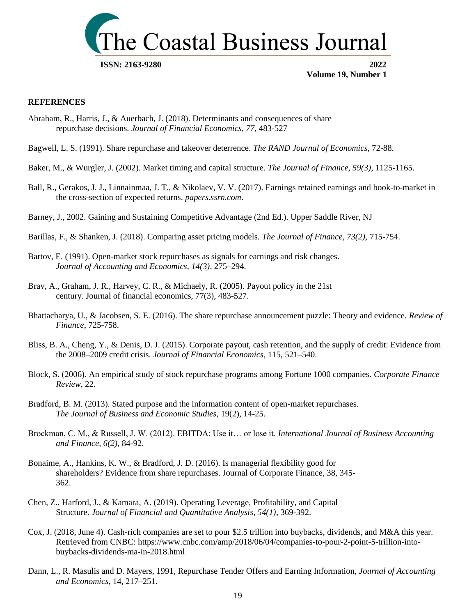

#### **REFERENCES**

- Abraham, R., Harris, J., & Auerbach, J. (2018). Determinants and consequences of share repurchase decisions. *Journal of Financial Economics*, *77*, 483-527
- Bagwell, L. S. (1991). Share repurchase and takeover deterrence. *The RAND Journal of Economics*, 72-88.
- Baker, M., & Wurgler, J. (2002). Market timing and capital structure. *The Journal of Finance, 59(3)*, 1125-1165.
- Ball, R., Gerakos, J. J., Linnainmaa, J. T., & Nikolaev, V. V. (2017). Earnings retained earnings and book-to-market in the cross-section of expected returns. *papers.ssrn.com*.
- Barney, J., 2002. Gaining and Sustaining Competitive Advantage (2nd Ed.). Upper Saddle River, NJ
- Barillas, F., & Shanken, J. (2018). Comparing asset pricing models. *The Journal of Finance, 73(2),* 715-754.
- Bartov, E. (1991). Open-market stock repurchases as signals for earnings and risk changes. *Journal of Accounting and Economics, 14(3)*, 275–294.
- Brav, A., Graham, J. R., Harvey, C. R., & Michaely, R. (2005). Payout policy in the 21st century. Journal of financial economics, 77(3), 483-527.
- Bhattacharya, U., & Jacobsen, S. E. (2016). The share repurchase announcement puzzle: Theory and evidence. *Review of Finance*, 725-758.
- Bliss, B. A., Cheng, Y., & Denis, D. J. (2015). Corporate payout, cash retention, and the supply of credit: Evidence from the 2008–2009 credit crisis. *Journal of Financial Economics*, 115, 521–540.
- Block, S. (2006). An empirical study of stock repurchase programs among Fortune 1000 companies. *Corporate Finance Review*, 22.
- Bradford, B. M. (2013). Stated purpose and the information content of open-market repurchases. *The Journal of Business and Economic Studies,* 19(2), 14-25.
- Brockman, C. M., & Russell, J. W. (2012). EBITDA: Use it… or lose it. *International Journal of Business Accounting and Finance, 6(2)*, 84-92.
- Bonaime, A., Hankins, K. W., & Bradford, J. D. (2016). Is managerial flexibility good for shareholders? Evidence from share repurchases. Journal of Corporate Finance, 38, 345- 362.
- Chen, Z., Harford, J., & Kamara, A. (2019). Operating Leverage, Profitability, and Capital Structure. *Journal of Financial and Quantitative Analysis, 54(1)*, 369-392.
- Cox, J. (2018, June 4). Cash-rich companies are set to pour \$2.5 trillion into buybacks, dividends, and M&A this year. Retrieved from CNBC: [https://www.cnbc.com/amp/2018/06/04/companies-to-pour-2-point-5-trillion-into](https://www.cnbc.com/amp/2018/06/04/companies-to-pour-2-point-5-trillion-into-buybacks-dividends-ma-in-2018.html)[buybacks-dividends-ma-in-2018.html](https://www.cnbc.com/amp/2018/06/04/companies-to-pour-2-point-5-trillion-into-buybacks-dividends-ma-in-2018.html)
- Dann, L., R. Masulis and D. Mayers, 1991, Repurchase Tender Offers and Earning Information, *Journal of Accounting and Economics*, 14, 217–251.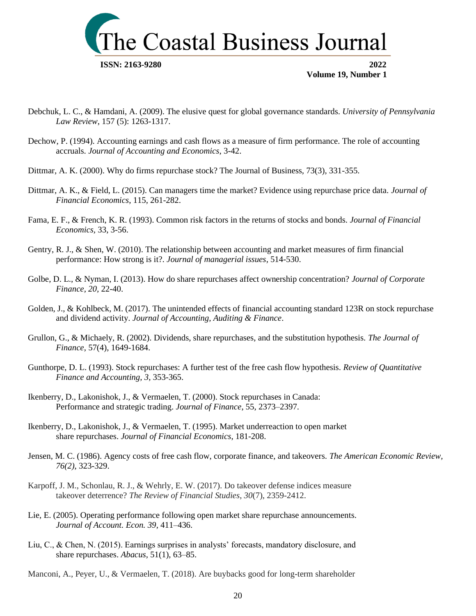

- Debchuk, L. C., & Hamdani, A. (2009). The elusive quest for global governance standards. *University of Pennsylvania Law Review*, 157 (5): 1263-1317.
- Dechow, P. (1994). Accounting earnings and cash flows as a measure of firm performance. The role of accounting accruals. *Journal of Accounting and Economics*, 3-42.
- Dittmar, A. K. (2000). Why do firms repurchase stock? The Journal of Business, 73(3), 331-355.
- Dittmar, A. K., & Field, L. (2015). Can managers time the market? Evidence using repurchase price data. *Journal of Financial Economics*, 115, 261-282.
- Fama, E. F., & French, K. R. (1993). Common risk factors in the returns of stocks and bonds. *Journal of Financial Economics,* 33, 3-56.
- Gentry, R. J., & Shen, W. (2010). The relationship between accounting and market measures of firm financial performance: How strong is it?. *Journal of managerial issues*, 514-530.
- Golbe, D. L., & Nyman, I. (2013). How do share repurchases affect ownership concentration? *Journal of Corporate Finance, 20,* 22-40.
- Golden, J., & Kohlbeck, M. (2017). The unintended effects of financial accounting standard 123R on stock repurchase and dividend activity. *Journal of Accounting, Auditing & Finance*.
- Grullon, G., & Michaely, R. (2002). Dividends, share repurchases, and the substitution hypothesis. *The Journal of Finance*, 57(4), 1649-1684.
- Gunthorpe, D. L. (1993). Stock repurchases: A further test of the free cash flow hypothesis*. Review of Quantitative Finance and Accounting, 3,* 353-365.
- Ikenberry, D., Lakonishok, J., & Vermaelen, T. (2000). Stock repurchases in Canada: Performance and strategic trading. *Journal of Finance*, 55, 2373–2397.
- Ikenberry, D., Lakonishok, J., & Vermaelen, T. (1995). Market underreaction to open market share repurchases. *Journal of Financial Economics*, 181-208.
- Jensen, M. C. (1986). Agency costs of free cash flow, corporate finance, and takeovers. *The American Economic Review, 76(2)*, 323-329.
- Karpoff, J. M., Schonlau, R. J., & Wehrly, E. W. (2017). Do takeover defense indices measure takeover deterrence? *The Review of Financial Studies*, *30*(7), 2359-2412.
- Lie, E. (2005). Operating performance following open market share repurchase announcements. *Journal of Account. Econ. 39*, 411–436.
- Liu, C., & Chen, N. (2015). Earnings surprises in analysts' forecasts, mandatory disclosure, and share repurchases. *Abacus*, 51(1), 63–85.

Manconi, A., Peyer, U., & Vermaelen, T. (2018). Are buybacks good for long-term shareholder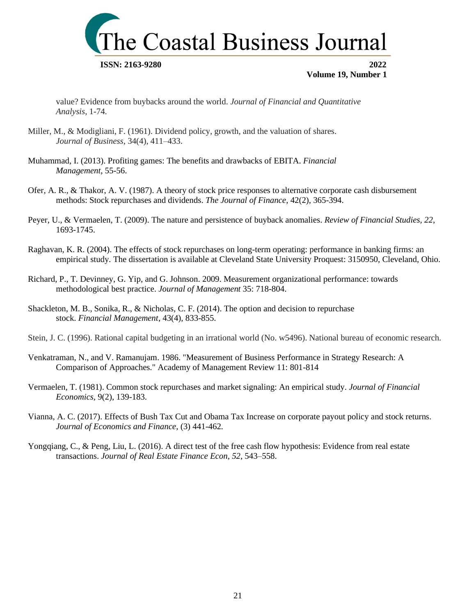

value? Evidence from buybacks around the world. *Journal of Financial and Quantitative Analysis*, 1-74.

- Miller, M., & Modigliani, F. (1961). Dividend policy, growth, and the valuation of shares. *Journal of Business*, 34(4), 411–433.
- Muhammad, I. (2013). Profiting games: The benefits and drawbacks of EBITA. *Financial Management*, 55-56.
- Ofer, A. R., & Thakor, A. V. (1987). A theory of stock price responses to alternative corporate cash disbursement methods: Stock repurchases and dividends. *The Journal of Finance*, 42(2), 365-394.
- Peyer, U., & Vermaelen, T. (2009). The nature and persistence of buyback anomalies. *Review of Financial Studies, 22*, 1693-1745.
- Raghavan, K. R. (2004). The effects of stock repurchases on long-term operating: performance in banking firms: an empirical study*.* The dissertation is available at Cleveland State University Proquest: 3150950, Cleveland, Ohio.
- Richard, P., T. Devinney, G. Yip, and G. Johnson. 2009. Measurement organizational performance: towards methodological best practice. *Journal of Management* 35: 718-804.
- Shackleton, M. B., Sonika, R., & Nicholas, C. F. (2014). The option and decision to repurchase stock. *Financial Management*, 43(4), 833-855.
- Stein, J. C. (1996). Rational capital budgeting in an irrational world (No. w5496). National bureau of economic research.
- Venkatraman, N., and V. Ramanujam. 1986. "Measurement of Business Performance in Strategy Research: A Comparison of Approaches." Academy of Management Review 11: 801-814
- Vermaelen, T. (1981). Common stock repurchases and market signaling: An empirical study. *Journal of Financial Economics,* 9(2), 139-183.
- Vianna, A. C. (2017). Effects of Bush Tax Cut and Obama Tax Increase on corporate payout policy and stock returns. *Journal of Economics and Finance*, (3) 441-462.
- Yongqiang, C., & Peng, Liu, L. (2016). A direct test of the free cash flow hypothesis: Evidence from real estate transactions. *Journal of Real Estate Finance Econ, 52*, 543–558.